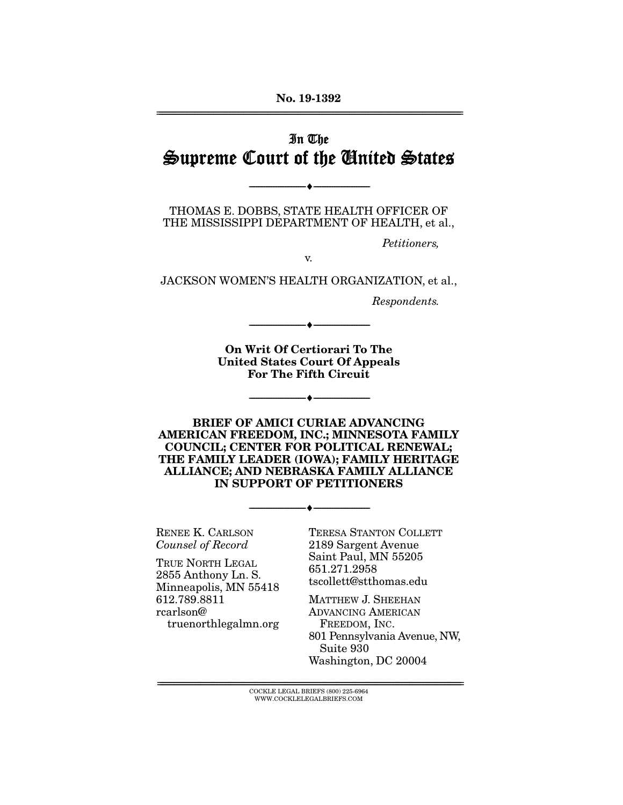**No. 19-1392**  ================================================================================================================

## In The Supreme Court of the United States

THOMAS E. DOBBS, STATE HEALTH OFFICER OF THE MISSISSIPPI DEPARTMENT OF HEALTH, et al.,

--------------------------------- ♦ ---------------------------------

Petitioners,

v.

JACKSON WOMEN'S HEALTH ORGANIZATION, et al.,

Respondents.

**On Writ Of Certiorari To The United States Court Of Appeals For The Fifth Circuit** 

--------------------------------- ♦ ---------------------------------

--------------------------------- ♦ ---------------------------------

**BRIEF OF AMICI CURIAE ADVANCING AMERICAN FREEDOM, INC.; MINNESOTA FAMILY COUNCIL; CENTER FOR POLITICAL RENEWAL; THE FAMILY LEADER (IOWA); FAMILY HERITAGE ALLIANCE; AND NEBRASKA FAMILY ALLIANCE IN SUPPORT OF PETITIONERS** 

--------------------------------- ♦ ---------------------------------

RENEE K. CARLSON Counsel of Record

TRUE NORTH LEGAL 2855 Anthony Ln. S. Minneapolis, MN 55418 612.789.8811 rcarlson@ truenorthlegalmn.org TERESA STANTON COLLETT 2189 Sargent Avenue Saint Paul, MN 55205 651.271.2958 tscollett@stthomas.edu

MATTHEW J. SHEEHAN ADVANCING AMERICAN FREEDOM, INC. 801 Pennsylvania Avenue, NW, Suite 930 Washington, DC 20004

 $\overline{\text{COCKLE LEGAL BRIEFS (800) 225-6964}}$ WWW.COCKLELEGALBRIEFS.COM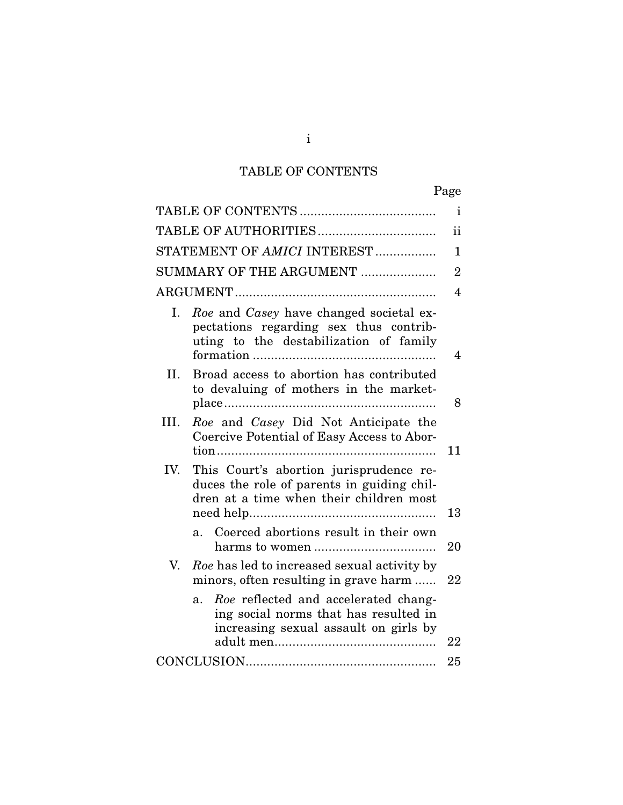# TABLE OF CONTENTS

|      |                                                                                                                                   | $\mathbf{i}$   |
|------|-----------------------------------------------------------------------------------------------------------------------------------|----------------|
|      |                                                                                                                                   | ii             |
|      | STATEMENT OF AMICI INTEREST                                                                                                       | $\mathbf{1}$   |
|      | SUMMARY OF THE ARGUMENT                                                                                                           | $\overline{2}$ |
|      |                                                                                                                                   | $\overline{4}$ |
| Ι.   | Roe and Casey have changed societal ex-<br>pectations regarding sex thus contrib-<br>uting to the destabilization of family       | 4              |
| II.  | Broad access to abortion has contributed<br>to devaluing of mothers in the market-                                                | 8              |
| III. | Roe and Casey Did Not Anticipate the<br>Coercive Potential of Easy Access to Abor-                                                | 11             |
| IV.  | This Court's abortion jurisprudence re-<br>duces the role of parents in guiding chil-<br>dren at a time when their children most  | 13             |
|      | Coerced abortions result in their own<br>a <sub>z</sub>                                                                           | 20             |
| V.   | Roe has led to increased sexual activity by<br>minors, often resulting in grave harm                                              | 22             |
|      | Roe reflected and accelerated chang-<br>$a_{-}$<br>ing social norms that has resulted in<br>increasing sexual assault on girls by | 22             |
|      |                                                                                                                                   | 25             |

i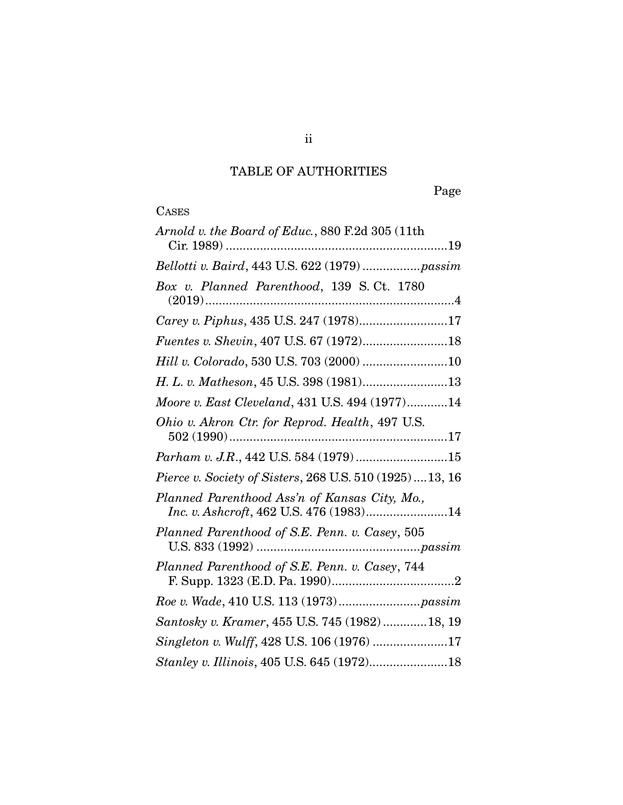# TABLE OF AUTHORITIES

Page

# **CASES**

| Arnold v. the Board of Educ., 880 F.2d 305 (11th                                         |
|------------------------------------------------------------------------------------------|
| Bellotti v. Baird, 443 U.S. 622 (1979)  passim                                           |
| Box v. Planned Parenthood, 139 S.Ct. 1780                                                |
| Carey v. Piphus, 435 U.S. 247 (1978)17                                                   |
| Fuentes v. Shevin, 407 U.S. 67 (1972)18                                                  |
| Hill v. Colorado, 530 U.S. 703 (2000) 10                                                 |
| H. L. v. Matheson, 45 U.S. 398 (1981)13                                                  |
| Moore v. East Cleveland, 431 U.S. 494 (1977)14                                           |
| Ohio v. Akron Ctr. for Reprod. Health, 497 U.S.                                          |
| Parham v. J.R., 442 U.S. 584 (1979)15                                                    |
| Pierce v. Society of Sisters, 268 U.S. 510 (1925)  13, 16                                |
| Planned Parenthood Ass'n of Kansas City, Mo.,<br>Inc. v. Ashcroft, 462 U.S. 476 (1983)14 |
| Planned Parenthood of S.E. Penn. v. Casey, 505                                           |
| Planned Parenthood of S.E. Penn. v. Casey, 744                                           |
|                                                                                          |
| Santosky v. Kramer, 455 U.S. 745 (1982)  18, 19                                          |
| Singleton v. Wulff, 428 U.S. 106 (1976) 17                                               |
| Stanley v. Illinois, 405 U.S. 645 (1972)18                                               |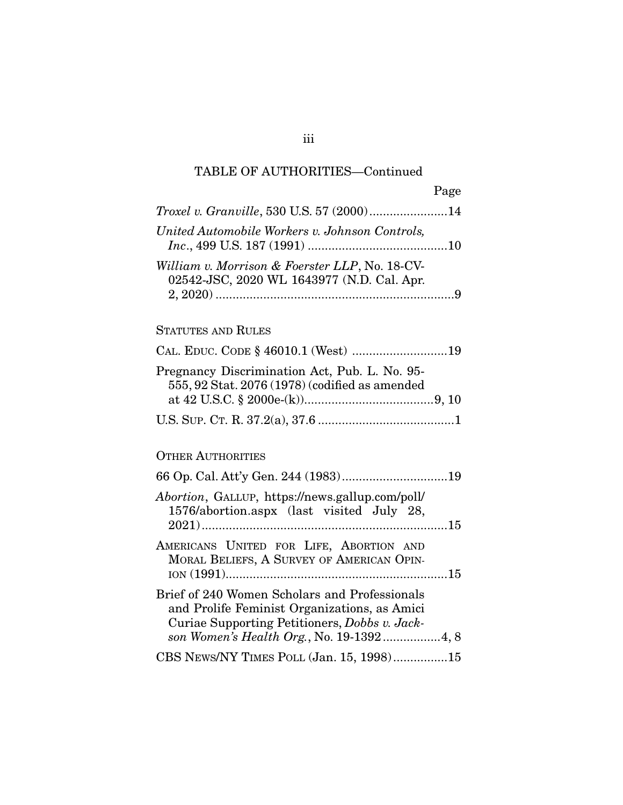Page

| Troxel v. Granville, 530 U.S. 57 (2000)14                                                    |  |
|----------------------------------------------------------------------------------------------|--|
| United Automobile Workers v. Johnson Controls,                                               |  |
| William v. Morrison & Foerster LLP, No. 18-CV-<br>02542-JSC, 2020 WL 1643977 (N.D. Cal. Apr. |  |
|                                                                                              |  |

## STATUTES AND RULES

| Pregnancy Discrimination Act, Pub. L. No. 95-<br>555, 92 Stat. 2076 (1978) (codified as amended |  |
|-------------------------------------------------------------------------------------------------|--|
|                                                                                                 |  |
|                                                                                                 |  |

## OTHER AUTHORITIES

| <i>Abortion</i> , GALLUP, https://news.gallup.com/poll/<br>1576/abortion.aspx (last visited July 28,                                           |
|------------------------------------------------------------------------------------------------------------------------------------------------|
|                                                                                                                                                |
| AMERICANS UNITED FOR LIFE, ABORTION AND<br>MORAL BELIEFS, A SURVEY OF AMERICAN OPIN-                                                           |
|                                                                                                                                                |
| Brief of 240 Women Scholars and Professionals<br>and Prolife Feminist Organizations, as Amici<br>Curiae Supporting Petitioners, Dobbs v. Jack- |
|                                                                                                                                                |
| CBS NEWS/NY TIMES POLL (Jan. 15, 1998)15                                                                                                       |

iii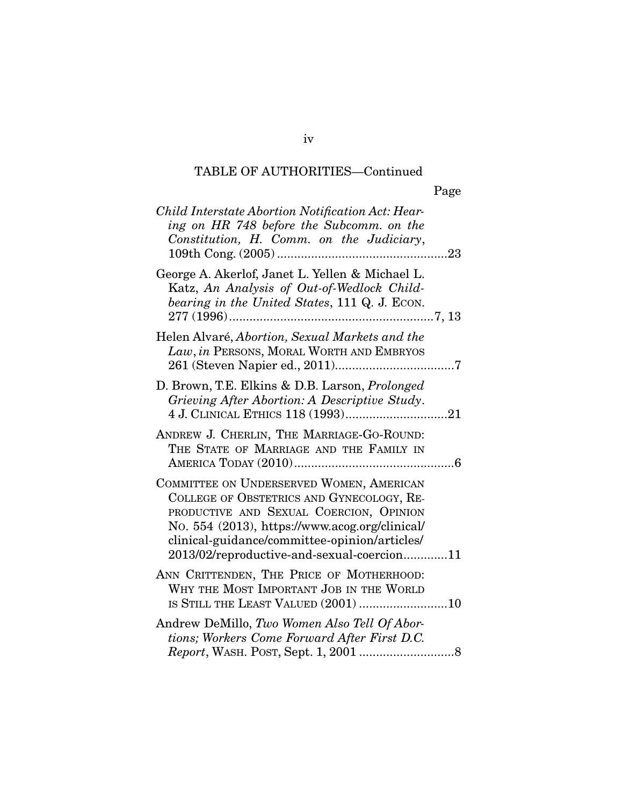| ×<br>۰, |
|---------|
|---------|

| Child Interstate Abortion Notification Act: Hear-<br>ing on HR 748 before the Subcomm. on the<br>Constitution, H. Comm. on the Judiciary,                                                                                                                                         |  |
|-----------------------------------------------------------------------------------------------------------------------------------------------------------------------------------------------------------------------------------------------------------------------------------|--|
| George A. Akerlof, Janet L. Yellen & Michael L.<br>Katz, An Analysis of Out-of-Wedlock Child-<br>bearing in the United States, 111 Q. J. ECON.                                                                                                                                    |  |
| Helen Alvaré, Abortion, Sexual Markets and the<br>Law, in PERSONS, MORAL WORTH AND EMBRYOS                                                                                                                                                                                        |  |
| D. Brown, T.E. Elkins & D.B. Larson, <i>Prolonged</i><br>Grieving After Abortion: A Descriptive Study.                                                                                                                                                                            |  |
| ANDREW J. CHERLIN, THE MARRIAGE-GO-ROUND:<br>THE STATE OF MARRIAGE AND THE FAMILY IN                                                                                                                                                                                              |  |
| COMMITTEE ON UNDERSERVED WOMEN, AMERICAN<br>COLLEGE OF OBSTETRICS AND GYNECOLOGY, RE-<br>PRODUCTIVE AND SEXUAL COERCION, OPINION<br>No. 554 (2013), https://www.acog.org/clinical/<br>clinical-guidance/committee-opinion/articles/<br>2013/02/reproductive-and-sexual-coercion11 |  |
| ANN CRITTENDEN, THE PRICE OF MOTHERHOOD:<br>WHY THE MOST IMPORTANT JOB IN THE WORLD<br>IS STILL THE LEAST VALUED (2001) 10                                                                                                                                                        |  |
| Andrew DeMillo, Two Women Also Tell Of Abor-<br>tions; Workers Come Forward After First D.C.                                                                                                                                                                                      |  |

iv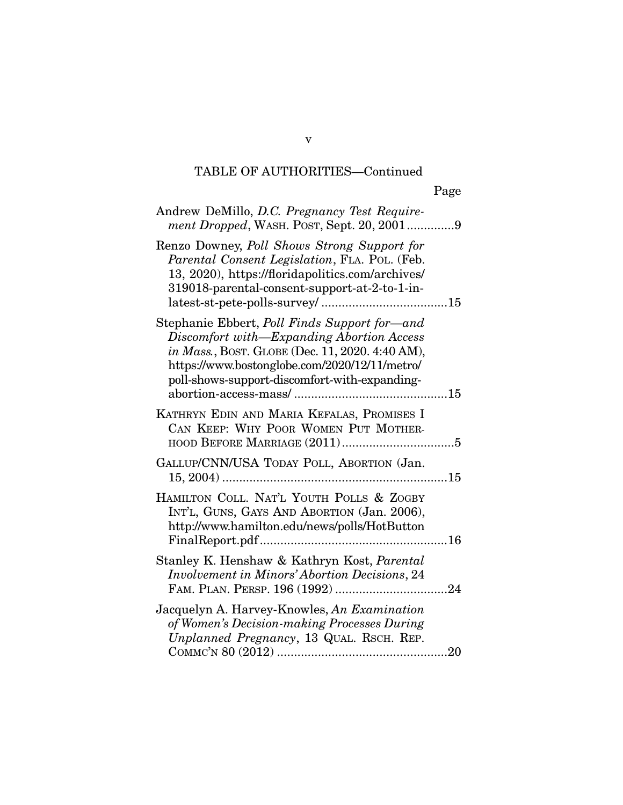| Andrew DeMillo, D.C. Pregnancy Test Require-<br>ment Dropped, WASH. POST, Sept. 20, 20019                                                                                                                                                             |
|-------------------------------------------------------------------------------------------------------------------------------------------------------------------------------------------------------------------------------------------------------|
| Renzo Downey, Poll Shows Strong Support for<br>Parental Consent Legislation, FLA. POL. (Feb.<br>13, 2020), https://floridapolitics.com/archives/<br>319018-parental-consent-support-at-2-to-1-in-                                                     |
| Stephanie Ebbert, <i>Poll Finds Support for—and</i><br>Discomfort with-Expanding Abortion Access<br>in Mass., BOST. GLOBE (Dec. 11, 2020. 4:40 AM),<br>https://www.bostonglobe.com/2020/12/11/metro/<br>poll-shows-support-discomfort-with-expanding- |
| KATHRYN EDIN AND MARIA KEFALAS, PROMISES I<br>CAN KEEP: WHY POOR WOMEN PUT MOTHER-                                                                                                                                                                    |
| GALLUP/CNN/USA TODAY POLL, ABORTION (Jan.                                                                                                                                                                                                             |
| HAMILTON COLL. NAT'L YOUTH POLLS & ZOGBY<br>INT'L, GUNS, GAYS AND ABORTION (Jan. 2006),<br>http://www.hamilton.edu/news/polls/HotButton                                                                                                               |
| Stanley K. Henshaw & Kathryn Kost, Parental<br><b>Involvement in Minors' Abortion Decisions, 24</b>                                                                                                                                                   |
| Jacquelyn A. Harvey-Knowles, An Examination<br>of Women's Decision-making Processes During<br>Unplanned Pregnancy, 13 QUAL. RSCH. REP.                                                                                                                |

v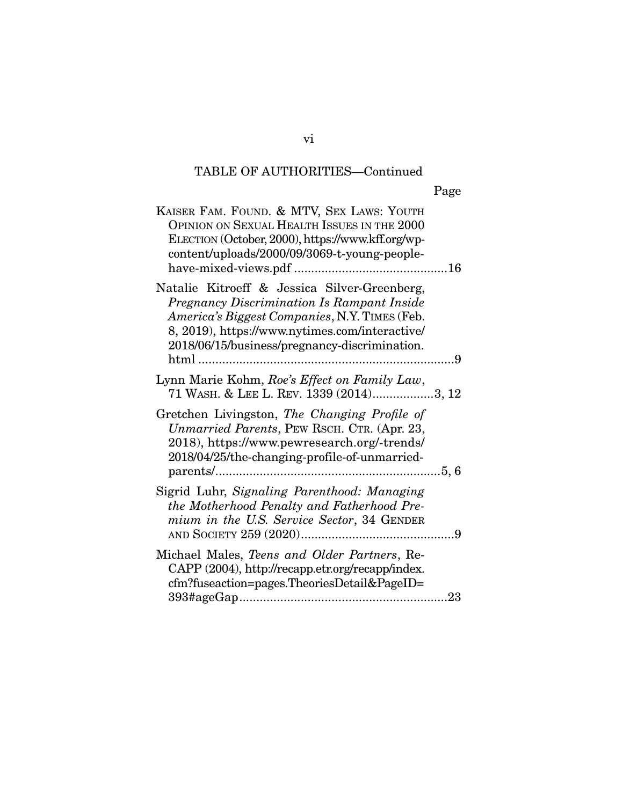| KAISER FAM. FOUND. & MTV, SEX LAWS: YOUTH<br>OPINION ON SEXUAL HEALTH ISSUES IN THE 2000<br>ELECTION (October, 2000), https://www.kff.org/wp-<br>content/uploads/2000/09/3069-t-young-people-                                                  |  |
|------------------------------------------------------------------------------------------------------------------------------------------------------------------------------------------------------------------------------------------------|--|
| Natalie Kitroeff & Jessica Silver-Greenberg,<br>Pregnancy Discrimination Is Rampant Inside<br>America's Biggest Companies, N.Y. TIMES (Feb.<br>8, 2019), https://www.nytimes.com/interactive/<br>2018/06/15/business/pregnancy-discrimination. |  |
| Lynn Marie Kohm, Roe's Effect on Family Law,<br>71 WASH. & LEE L. REV. 1339 (2014)3, 12                                                                                                                                                        |  |
| Gretchen Livingston, The Changing Profile of<br>Unmarried Parents, PEW RSCH. CTR. (Apr. 23,<br>2018), https://www.pewresearch.org/-trends/<br>2018/04/25/the-changing-profile-of-unmarried-                                                    |  |
| Sigrid Luhr, Signaling Parenthood: Managing<br>the Motherhood Penalty and Fatherhood Pre-<br>mium in the U.S. Service Sector, 34 GENDER                                                                                                        |  |
| Michael Males, Teens and Older Partners, Re-<br>CAPP (2004), http://recapp.etr.org/recapp/index.<br>cfm?fuseaction=pages.TheoriesDetail&PageID=                                                                                                |  |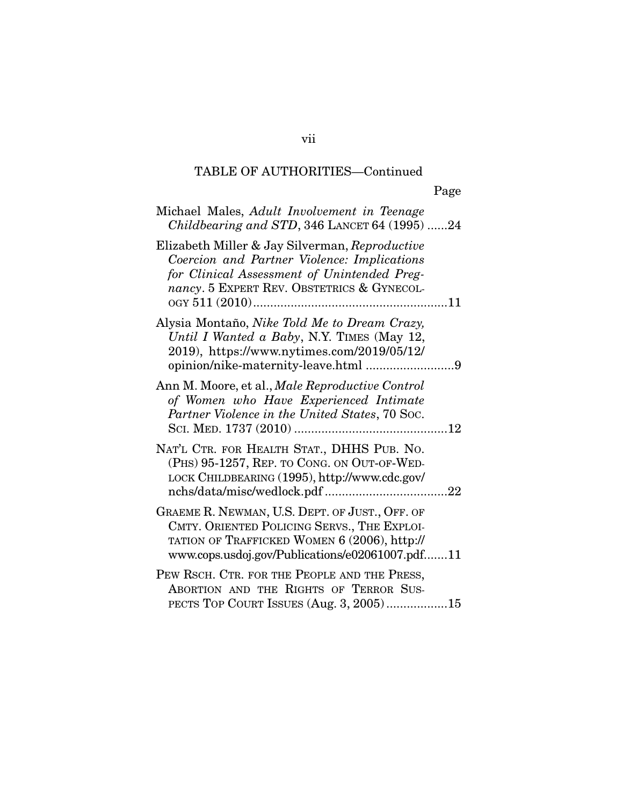| Michael Males, Adult Involvement in Teenage<br>Childbearing and STD, 346 LANCET 64 (1995) 24                                                                                                     |
|--------------------------------------------------------------------------------------------------------------------------------------------------------------------------------------------------|
| Elizabeth Miller & Jay Silverman, Reproductive<br>Coercion and Partner Violence: Implications<br>for Clinical Assessment of Unintended Preg-<br>nancy. 5 EXPERT REV. OBSTETRICS & GYNECOL-       |
| Alysia Montaño, Nike Told Me to Dream Crazy,<br>Until I Wanted a Baby, N.Y. TIMES (May 12,<br>2019), https://www.nytimes.com/2019/05/12/                                                         |
| Ann M. Moore, et al., Male Reproductive Control<br>of Women who Have Experienced Intimate<br>Partner Violence in the United States, 70 Soc.                                                      |
| NAT'L CTR. FOR HEALTH STAT., DHHS PUB. NO.<br>(PHS) 95-1257, REP. TO CONG. ON OUT-OF-WED-<br>LOCK CHILDBEARING (1995), http://www.cdc.gov/                                                       |
| GRAEME R. NEWMAN, U.S. DEPT. OF JUST., OFF. OF<br>CMTY. ORIENTED POLICING SERVS., THE EXPLOI-<br>TATION OF TRAFFICKED WOMEN 6 (2006), http://<br>www.cops.usdoj.gov/Publications/e02061007.pdf11 |
| PEW RSCH. CTR. FOR THE PEOPLE AND THE PRESS,<br>ABORTION AND THE RIGHTS OF TERROR SUS-<br>PECTS TOP COURT ISSUES (Aug. 3, 2005)15                                                                |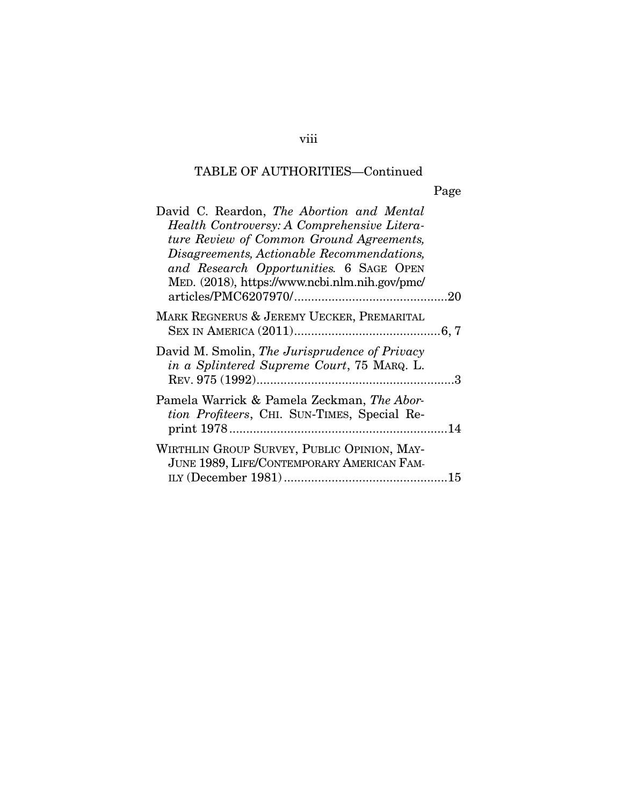| David C. Reardon, The Abortion and Mental<br>Health Controversy: A Comprehensive Litera-<br>ture Review of Common Ground Agreements,<br>Disagreements, Actionable Recommendations,<br>and Research Opportunities. 6 SAGE OPEN<br>MED. (2018), https://www.ncbi.nlm.nih.gov/pmc/ |  |
|---------------------------------------------------------------------------------------------------------------------------------------------------------------------------------------------------------------------------------------------------------------------------------|--|
| MARK REGNERUS & JEREMY UECKER, PREMARITAL                                                                                                                                                                                                                                       |  |
| David M. Smolin, The Jurisprudence of Privacy<br>in a Splintered Supreme Court, 75 MARQ. L.                                                                                                                                                                                     |  |
| Pamela Warrick & Pamela Zeckman, The Abor-<br>tion Profiteers, CHI. SUN-TIMES, Special Re-                                                                                                                                                                                      |  |
| WIRTHLIN GROUP SURVEY, PUBLIC OPINION, MAY-<br>JUNE 1989, LIFE/CONTEMPORARY AMERICAN FAM-                                                                                                                                                                                       |  |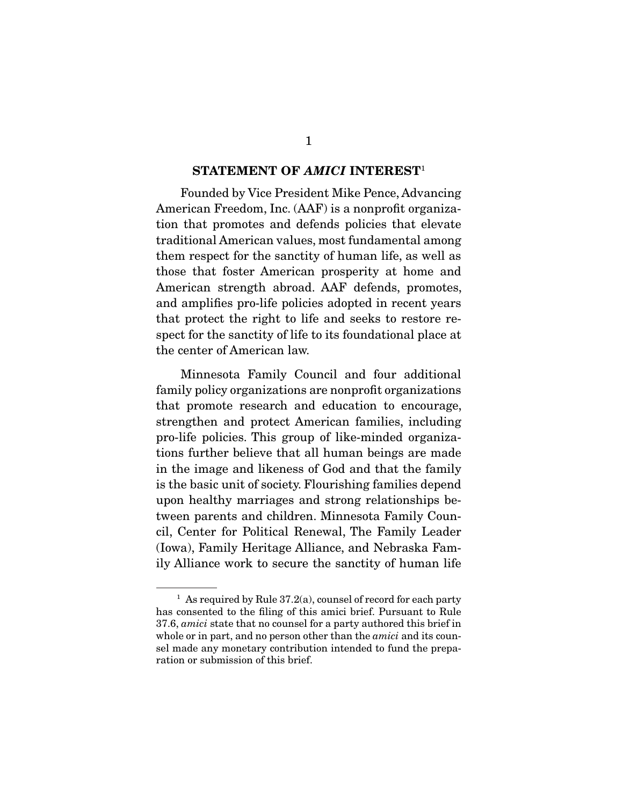#### **STATEMENT OF** *AMICI* **INTEREST**<sup>1</sup>

Founded by Vice President Mike Pence, Advancing American Freedom, Inc. (AAF) is a nonprofit organization that promotes and defends policies that elevate traditional American values, most fundamental among them respect for the sanctity of human life, as well as those that foster American prosperity at home and American strength abroad. AAF defends, promotes, and amplifies pro-life policies adopted in recent years that protect the right to life and seeks to restore respect for the sanctity of life to its foundational place at the center of American law.

 Minnesota Family Council and four additional family policy organizations are nonprofit organizations that promote research and education to encourage, strengthen and protect American families, including pro-life policies. This group of like-minded organizations further believe that all human beings are made in the image and likeness of God and that the family is the basic unit of society. Flourishing families depend upon healthy marriages and strong relationships between parents and children. Minnesota Family Council, Center for Political Renewal, The Family Leader (Iowa), Family Heritage Alliance, and Nebraska Family Alliance work to secure the sanctity of human life

<sup>&</sup>lt;sup>1</sup> As required by Rule  $37.2(a)$ , counsel of record for each party has consented to the filing of this amici brief. Pursuant to Rule 37.6, amici state that no counsel for a party authored this brief in whole or in part, and no person other than the *amici* and its counsel made any monetary contribution intended to fund the preparation or submission of this brief.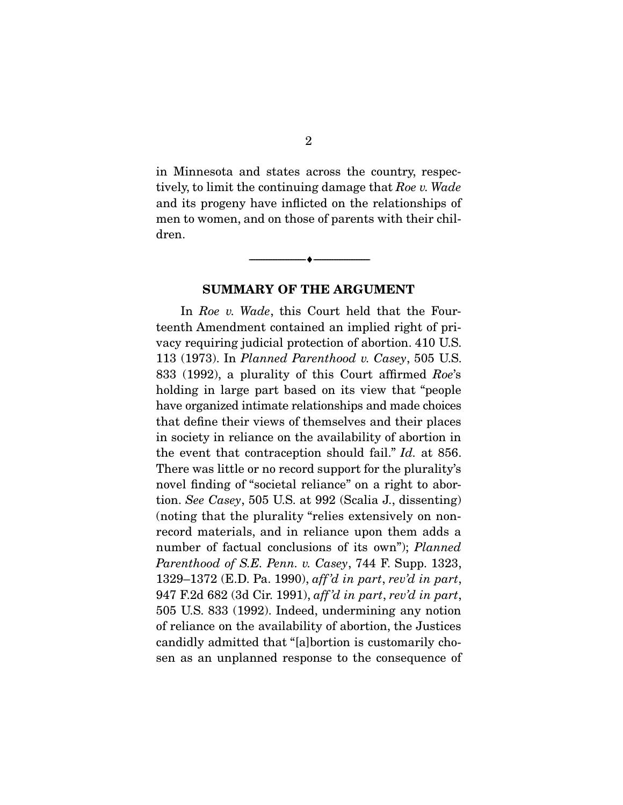in Minnesota and states across the country, respectively, to limit the continuing damage that Roe v. Wade and its progeny have inflicted on the relationships of men to women, and on those of parents with their children.

#### **SUMMARY OF THE ARGUMENT**

 $\overbrace{\hspace{2.5cm}}^{\bullet}$   $\overbrace{\hspace{2.5cm}}^{\bullet}$ 

In Roe v. Wade, this Court held that the Fourteenth Amendment contained an implied right of privacy requiring judicial protection of abortion. 410 U.S. 113 (1973). In Planned Parenthood v. Casey, 505 U.S. 833 (1992), a plurality of this Court affirmed Roe's holding in large part based on its view that "people have organized intimate relationships and made choices that define their views of themselves and their places in society in reliance on the availability of abortion in the event that contraception should fail." Id. at 856. There was little or no record support for the plurality's novel finding of "societal reliance" on a right to abortion. See Casey, 505 U.S. at 992 (Scalia J., dissenting) (noting that the plurality "relies extensively on nonrecord materials, and in reliance upon them adds a number of factual conclusions of its own"); Planned Parenthood of S.E. Penn. v. Casey, 744 F. Supp. 1323, 1329–1372 (E.D. Pa. 1990), aff 'd in part, rev'd in part, 947 F.2d 682 (3d Cir. 1991), aff 'd in part, rev'd in part, 505 U.S. 833 (1992). Indeed, undermining any notion of reliance on the availability of abortion, the Justices candidly admitted that "[a]bortion is customarily chosen as an unplanned response to the consequence of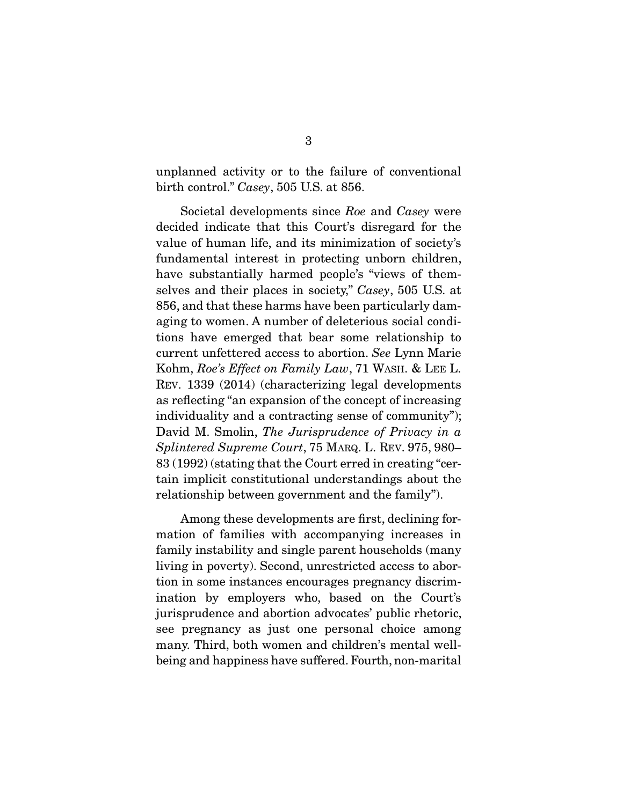unplanned activity or to the failure of conventional birth control." Casey, 505 U.S. at 856.

 Societal developments since Roe and Casey were decided indicate that this Court's disregard for the value of human life, and its minimization of society's fundamental interest in protecting unborn children, have substantially harmed people's "views of themselves and their places in society," Casey, 505 U.S. at 856, and that these harms have been particularly damaging to women. A number of deleterious social conditions have emerged that bear some relationship to current unfettered access to abortion. See Lynn Marie Kohm, Roe's Effect on Family Law, 71 WASH. & LEE L. REV. 1339 (2014) (characterizing legal developments as reflecting "an expansion of the concept of increasing individuality and a contracting sense of community"); David M. Smolin, The Jurisprudence of Privacy in a Splintered Supreme Court, 75 MARQ. L. REV. 975, 980– 83 (1992) (stating that the Court erred in creating "certain implicit constitutional understandings about the relationship between government and the family").

 Among these developments are first, declining formation of families with accompanying increases in family instability and single parent households (many living in poverty). Second, unrestricted access to abortion in some instances encourages pregnancy discrimination by employers who, based on the Court's jurisprudence and abortion advocates' public rhetoric, see pregnancy as just one personal choice among many. Third, both women and children's mental wellbeing and happiness have suffered. Fourth, non-marital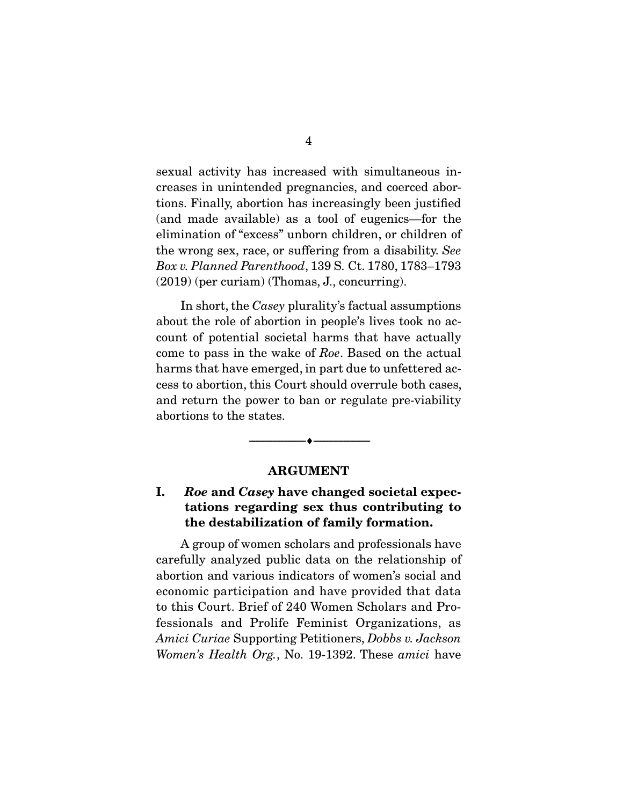sexual activity has increased with simultaneous increases in unintended pregnancies, and coerced abortions. Finally, abortion has increasingly been justified (and made available) as a tool of eugenics—for the elimination of "excess" unborn children, or children of the wrong sex, race, or suffering from a disability. See Box v. Planned Parenthood, 139 S. Ct. 1780, 1783–1793 (2019) (per curiam) (Thomas, J., concurring).

 In short, the Casey plurality's factual assumptions about the role of abortion in people's lives took no account of potential societal harms that have actually come to pass in the wake of Roe. Based on the actual harms that have emerged, in part due to unfettered access to abortion, this Court should overrule both cases, and return the power to ban or regulate pre-viability abortions to the states.

#### **ARGUMENT**

 $\overbrace{\hspace{2.5cm}}^{\bullet}$   $\overbrace{\hspace{2.5cm}}^{\bullet}$ 

## **I.** *Roe* **and** *Casey* **have changed societal expectations regarding sex thus contributing to the destabilization of family formation.**

A group of women scholars and professionals have carefully analyzed public data on the relationship of abortion and various indicators of women's social and economic participation and have provided that data to this Court. Brief of 240 Women Scholars and Professionals and Prolife Feminist Organizations, as Amici Curiae Supporting Petitioners, Dobbs v. Jackson Women's Health Org., No. 19-1392. These amici have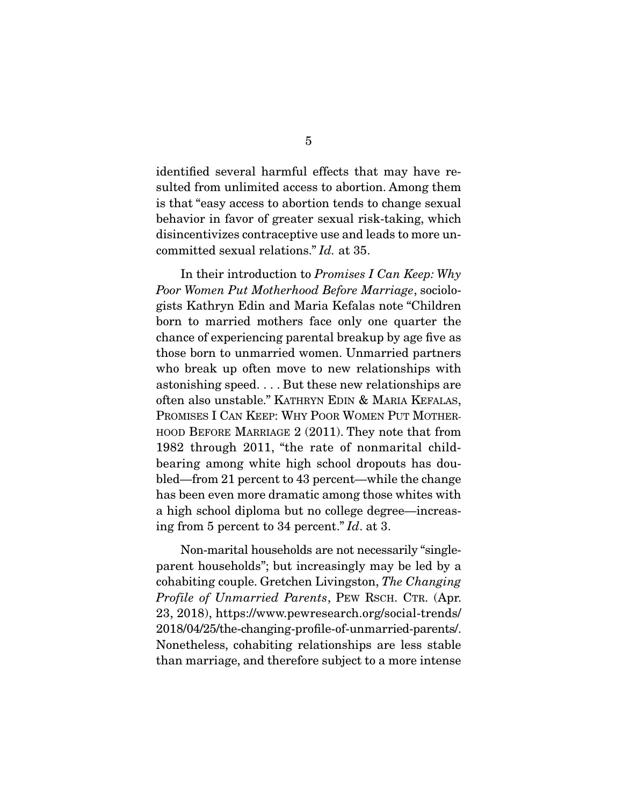identified several harmful effects that may have resulted from unlimited access to abortion. Among them is that "easy access to abortion tends to change sexual behavior in favor of greater sexual risk-taking, which disincentivizes contraceptive use and leads to more uncommitted sexual relations." Id. at 35.

 In their introduction to Promises I Can Keep: Why Poor Women Put Motherhood Before Marriage, sociologists Kathryn Edin and Maria Kefalas note "Children born to married mothers face only one quarter the chance of experiencing parental breakup by age five as those born to unmarried women. Unmarried partners who break up often move to new relationships with astonishing speed. . . . But these new relationships are often also unstable." KATHRYN EDIN & MARIA KEFALAS, PROMISES I CAN KEEP: WHY POOR WOMEN PUT MOTHER-HOOD BEFORE MARRIAGE 2 (2011). They note that from 1982 through 2011, "the rate of nonmarital childbearing among white high school dropouts has doubled—from 21 percent to 43 percent—while the change has been even more dramatic among those whites with a high school diploma but no college degree—increasing from 5 percent to 34 percent." Id. at 3.

 Non-marital households are not necessarily "singleparent households"; but increasingly may be led by a cohabiting couple. Gretchen Livingston, The Changing Profile of Unmarried Parents, PEW RSCH. CTR. (Apr. 23, 2018), https://www.pewresearch.org/social-trends/ 2018/04/25/the-changing-profile-of-unmarried-parents/. Nonetheless, cohabiting relationships are less stable than marriage, and therefore subject to a more intense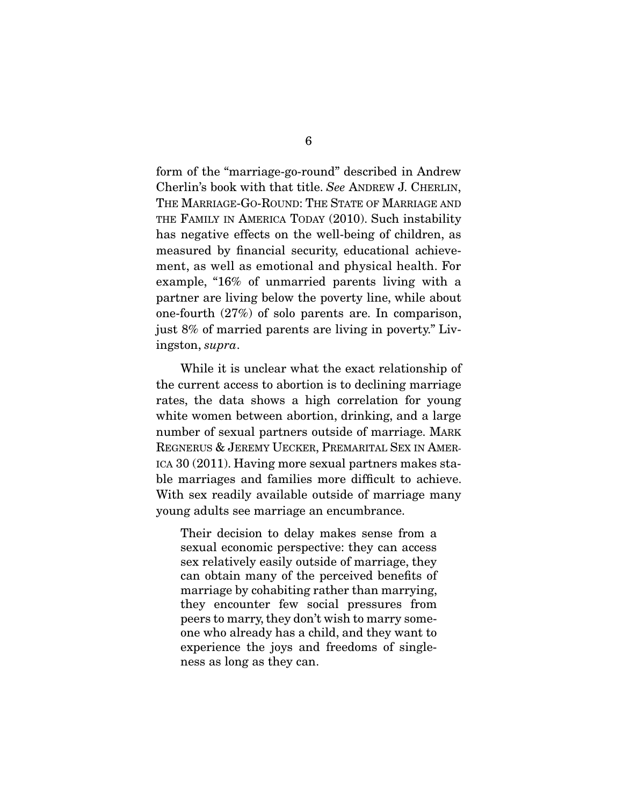form of the "marriage-go-round" described in Andrew Cherlin's book with that title. See ANDREW J. CHERLIN, THE MARRIAGE-GO-ROUND: THE STATE OF MARRIAGE AND THE FAMILY IN AMERICA TODAY (2010). Such instability has negative effects on the well-being of children, as measured by financial security, educational achievement, as well as emotional and physical health. For example, "16% of unmarried parents living with a partner are living below the poverty line, while about one-fourth (27%) of solo parents are. In comparison, just 8% of married parents are living in poverty." Livingston, supra.

 While it is unclear what the exact relationship of the current access to abortion is to declining marriage rates, the data shows a high correlation for young white women between abortion, drinking, and a large number of sexual partners outside of marriage. MARK REGNERUS & JEREMY UECKER, PREMARITAL SEX IN AMER-ICA 30 (2011). Having more sexual partners makes stable marriages and families more difficult to achieve. With sex readily available outside of marriage many young adults see marriage an encumbrance.

Their decision to delay makes sense from a sexual economic perspective: they can access sex relatively easily outside of marriage, they can obtain many of the perceived benefits of marriage by cohabiting rather than marrying, they encounter few social pressures from peers to marry, they don't wish to marry someone who already has a child, and they want to experience the joys and freedoms of singleness as long as they can.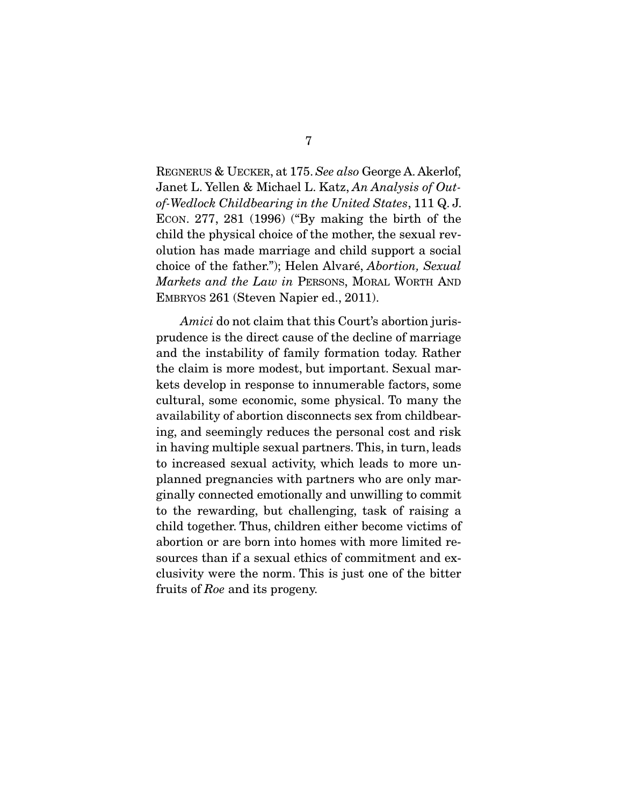REGNERUS & UECKER, at 175. See also George A. Akerlof, Janet L. Yellen & Michael L. Katz, An Analysis of Outof-Wedlock Childbearing in the United States, 111 Q. J. ECON. 277, 281 (1996) ("By making the birth of the child the physical choice of the mother, the sexual revolution has made marriage and child support a social choice of the father."); Helen Alvaré, Abortion, Sexual Markets and the Law in PERSONS, MORAL WORTH AND EMBRYOS 261 (Steven Napier ed., 2011).

Amici do not claim that this Court's abortion jurisprudence is the direct cause of the decline of marriage and the instability of family formation today. Rather the claim is more modest, but important. Sexual markets develop in response to innumerable factors, some cultural, some economic, some physical. To many the availability of abortion disconnects sex from childbearing, and seemingly reduces the personal cost and risk in having multiple sexual partners. This, in turn, leads to increased sexual activity, which leads to more unplanned pregnancies with partners who are only marginally connected emotionally and unwilling to commit to the rewarding, but challenging, task of raising a child together. Thus, children either become victims of abortion or are born into homes with more limited resources than if a sexual ethics of commitment and exclusivity were the norm. This is just one of the bitter fruits of Roe and its progeny.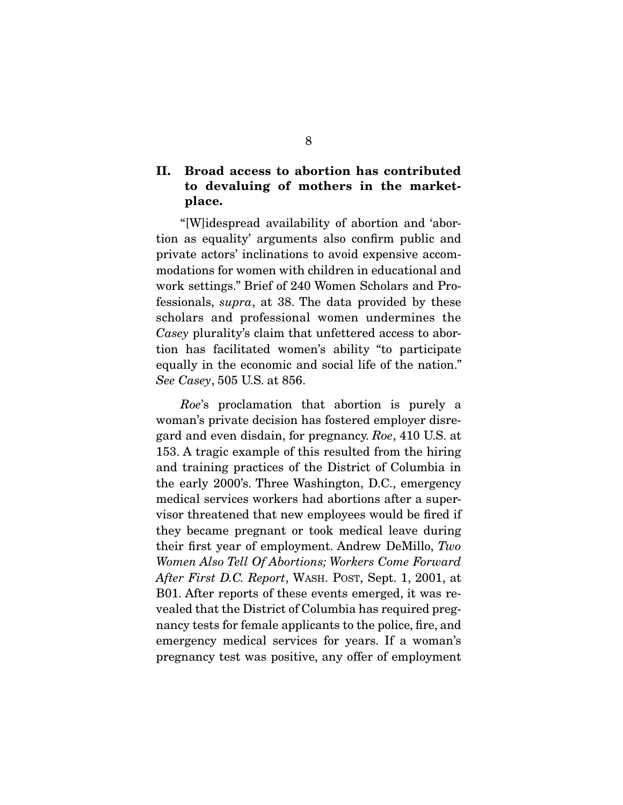## **II. Broad access to abortion has contributed to devaluing of mothers in the marketplace.**

 "[W]idespread availability of abortion and 'abortion as equality' arguments also confirm public and private actors' inclinations to avoid expensive accommodations for women with children in educational and work settings." Brief of 240 Women Scholars and Professionals, supra, at 38. The data provided by these scholars and professional women undermines the Casey plurality's claim that unfettered access to abortion has facilitated women's ability "to participate equally in the economic and social life of the nation." See Casey, 505 U.S. at 856.

Roe's proclamation that abortion is purely a woman's private decision has fostered employer disregard and even disdain, for pregnancy. Roe, 410 U.S. at 153. A tragic example of this resulted from the hiring and training practices of the District of Columbia in the early 2000's. Three Washington, D.C., emergency medical services workers had abortions after a supervisor threatened that new employees would be fired if they became pregnant or took medical leave during their first year of employment. Andrew DeMillo, Two Women Also Tell Of Abortions; Workers Come Forward After First D.C. Report, WASH. POST, Sept. 1, 2001, at B01. After reports of these events emerged, it was revealed that the District of Columbia has required pregnancy tests for female applicants to the police, fire, and emergency medical services for years. If a woman's pregnancy test was positive, any offer of employment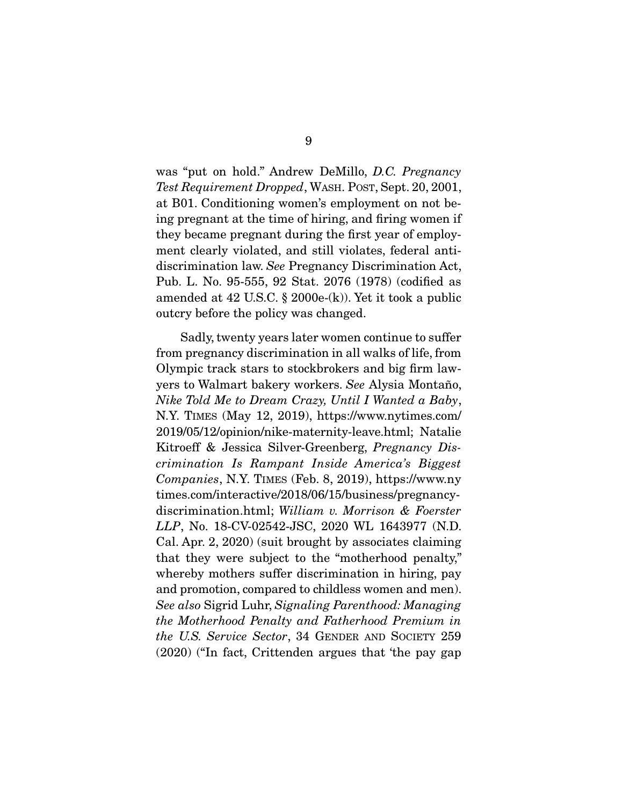was "put on hold." Andrew DeMillo, D.C. Pregnancy Test Requirement Dropped, WASH. POST, Sept. 20, 2001, at B01. Conditioning women's employment on not being pregnant at the time of hiring, and firing women if they became pregnant during the first year of employment clearly violated, and still violates, federal antidiscrimination law. See Pregnancy Discrimination Act, Pub. L. No. 95-555, 92 Stat. 2076 (1978) (codified as amended at 42 U.S.C. § 2000e-(k)). Yet it took a public outcry before the policy was changed.

 Sadly, twenty years later women continue to suffer from pregnancy discrimination in all walks of life, from Olympic track stars to stockbrokers and big firm lawyers to Walmart bakery workers. See Alysia Montaño, Nike Told Me to Dream Crazy, Until I Wanted a Baby, N.Y. TIMES (May 12, 2019), https://www.nytimes.com/ 2019/05/12/opinion/nike-maternity-leave.html; Natalie Kitroeff & Jessica Silver-Greenberg, Pregnancy Discrimination Is Rampant Inside America's Biggest Companies, N.Y. TIMES (Feb. 8, 2019), https://www.ny times.com/interactive/2018/06/15/business/pregnancydiscrimination.html; William v. Morrison & Foerster LLP, No. 18-CV-02542-JSC, 2020 WL 1643977 (N.D. Cal. Apr. 2, 2020) (suit brought by associates claiming that they were subject to the "motherhood penalty," whereby mothers suffer discrimination in hiring, pay and promotion, compared to childless women and men). See also Sigrid Luhr, Signaling Parenthood: Managing the Motherhood Penalty and Fatherhood Premium in the U.S. Service Sector, 34 GENDER AND SOCIETY 259 (2020) ("In fact, Crittenden argues that 'the pay gap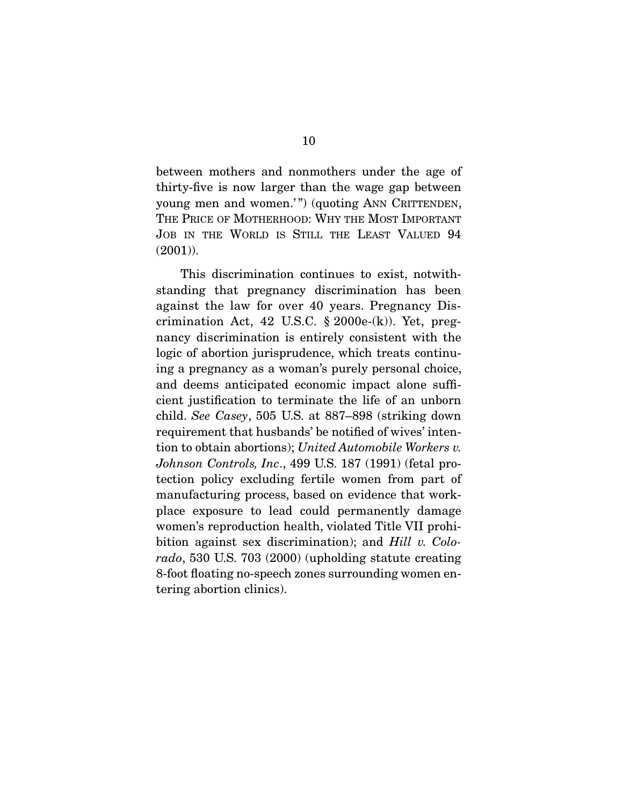between mothers and nonmothers under the age of thirty-five is now larger than the wage gap between young men and women.'") (quoting ANN CRITTENDEN, THE PRICE OF MOTHERHOOD: WHY THE MOST IMPORTANT JOB IN THE WORLD IS STILL THE LEAST VALUED 94 (2001)).

 This discrimination continues to exist, notwithstanding that pregnancy discrimination has been against the law for over 40 years. Pregnancy Discrimination Act, 42 U.S.C.  $\S 2000e-(k)$ . Yet, pregnancy discrimination is entirely consistent with the logic of abortion jurisprudence, which treats continuing a pregnancy as a woman's purely personal choice, and deems anticipated economic impact alone sufficient justification to terminate the life of an unborn child. See Casey, 505 U.S. at 887–898 (striking down requirement that husbands' be notified of wives' intention to obtain abortions); United Automobile Workers v. Johnson Controls, Inc., 499 U.S. 187 (1991) (fetal protection policy excluding fertile women from part of manufacturing process, based on evidence that workplace exposure to lead could permanently damage women's reproduction health, violated Title VII prohibition against sex discrimination); and *Hill v. Colo*rado, 530 U.S. 703 (2000) (upholding statute creating 8-foot floating no-speech zones surrounding women entering abortion clinics).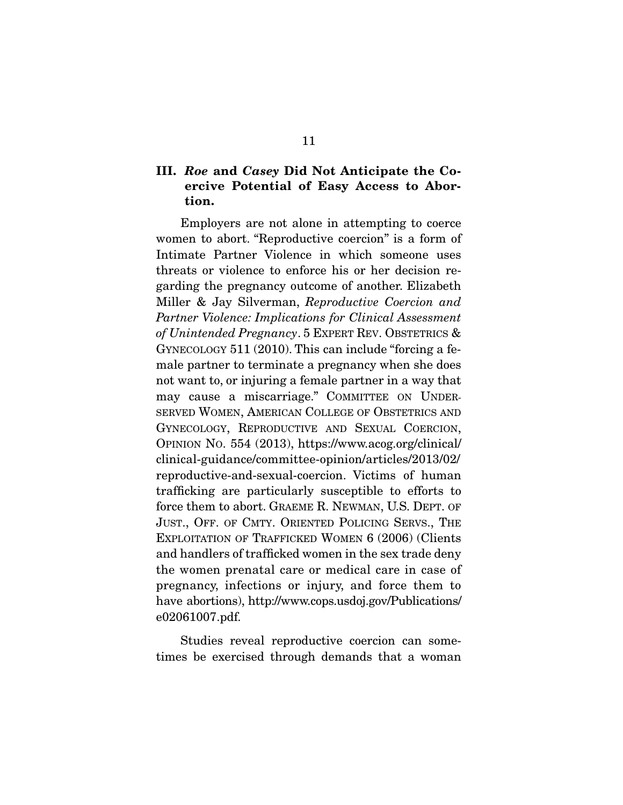## **III.** *Roe* **and** *Casey* **Did Not Anticipate the Coercive Potential of Easy Access to Abortion.**

Employers are not alone in attempting to coerce women to abort. "Reproductive coercion" is a form of Intimate Partner Violence in which someone uses threats or violence to enforce his or her decision regarding the pregnancy outcome of another. Elizabeth Miller & Jay Silverman, Reproductive Coercion and Partner Violence: Implications for Clinical Assessment of Unintended Pregnancy.  $5$  EXPERT REV. OBSTETRICS  $\&$ GYNECOLOGY 511 (2010). This can include "forcing a female partner to terminate a pregnancy when she does not want to, or injuring a female partner in a way that may cause a miscarriage." COMMITTEE ON UNDER-SERVED WOMEN, AMERICAN COLLEGE OF OBSTETRICS AND GYNECOLOGY, REPRODUCTIVE AND SEXUAL COERCION, OPINION NO. 554 (2013), https://www.acog.org/clinical/ clinical-guidance/committee-opinion/articles/2013/02/ reproductive-and-sexual-coercion. Victims of human trafficking are particularly susceptible to efforts to force them to abort. GRAEME R. NEWMAN, U.S. DEPT. OF JUST., OFF. OF CMTY. ORIENTED POLICING SERVS., THE EXPLOITATION OF TRAFFICKED WOMEN 6 (2006) (Clients and handlers of trafficked women in the sex trade deny the women prenatal care or medical care in case of pregnancy, infections or injury, and force them to have abortions), http://www.cops.usdoj.gov/Publications/ e02061007.pdf.

Studies reveal reproductive coercion can sometimes be exercised through demands that a woman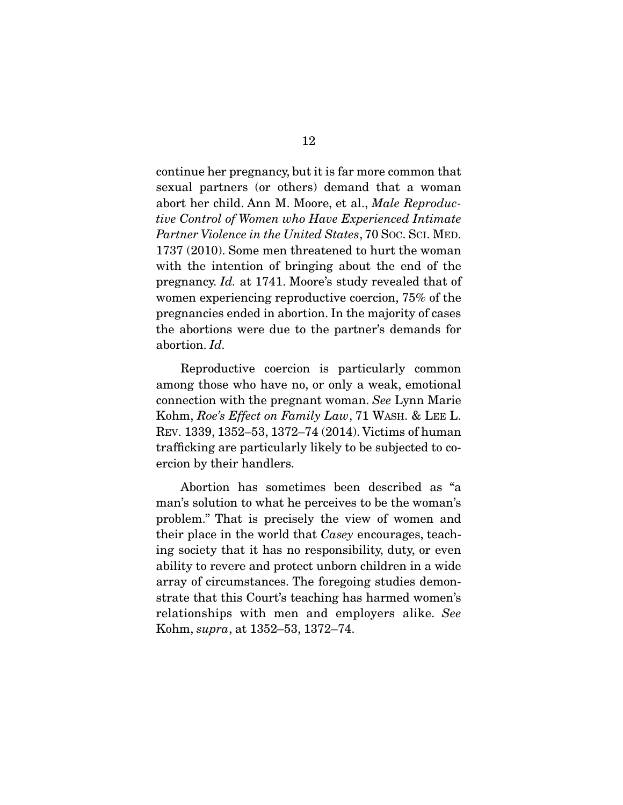continue her pregnancy, but it is far more common that sexual partners (or others) demand that a woman abort her child. Ann M. Moore, et al., Male Reproductive Control of Women who Have Experienced Intimate Partner Violence in the United States, 70 Soc. Sci. MED. 1737 (2010). Some men threatened to hurt the woman with the intention of bringing about the end of the pregnancy. Id. at 1741. Moore's study revealed that of women experiencing reproductive coercion, 75% of the pregnancies ended in abortion. In the majority of cases the abortions were due to the partner's demands for abortion. Id.

 Reproductive coercion is particularly common among those who have no, or only a weak, emotional connection with the pregnant woman. See Lynn Marie Kohm, Roe's Effect on Family Law, 71 WASH. & LEE L. REV. 1339, 1352–53, 1372–74 (2014). Victims of human trafficking are particularly likely to be subjected to coercion by their handlers.

 Abortion has sometimes been described as "a man's solution to what he perceives to be the woman's problem." That is precisely the view of women and their place in the world that Casey encourages, teaching society that it has no responsibility, duty, or even ability to revere and protect unborn children in a wide array of circumstances. The foregoing studies demonstrate that this Court's teaching has harmed women's relationships with men and employers alike. See Kohm, supra, at 1352–53, 1372–74.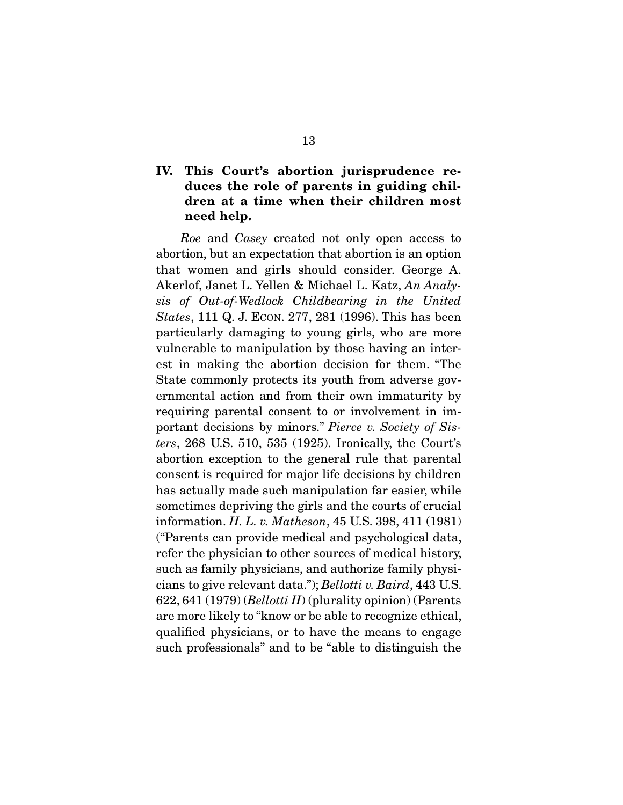### **IV. This Court's abortion jurisprudence reduces the role of parents in guiding children at a time when their children most need help.**

Roe and Casey created not only open access to abortion, but an expectation that abortion is an option that women and girls should consider. George A. Akerlof, Janet L. Yellen & Michael L. Katz, An Analysis of Out-of-Wedlock Childbearing in the United States, 111 Q. J. ECON. 277, 281 (1996). This has been particularly damaging to young girls, who are more vulnerable to manipulation by those having an interest in making the abortion decision for them. "The State commonly protects its youth from adverse governmental action and from their own immaturity by requiring parental consent to or involvement in important decisions by minors." Pierce v. Society of Sisters, 268 U.S. 510, 535 (1925). Ironically, the Court's abortion exception to the general rule that parental consent is required for major life decisions by children has actually made such manipulation far easier, while sometimes depriving the girls and the courts of crucial information. H. L. v. Matheson, 45 U.S. 398, 411 (1981) ("Parents can provide medical and psychological data, refer the physician to other sources of medical history, such as family physicians, and authorize family physicians to give relevant data."); Bellotti v. Baird, 443 U.S. 622, 641 (1979) (Bellotti II) (plurality opinion) (Parents are more likely to "know or be able to recognize ethical, qualified physicians, or to have the means to engage such professionals" and to be "able to distinguish the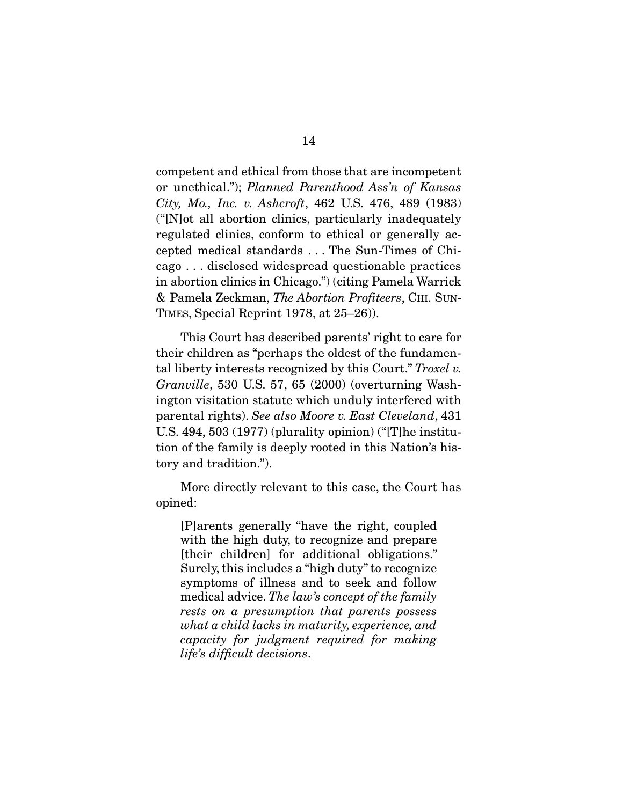competent and ethical from those that are incompetent or unethical."); Planned Parenthood Ass'n of Kansas City, Mo., Inc. v. Ashcroft, 462 U.S. 476, 489 (1983) ("[N]ot all abortion clinics, particularly inadequately regulated clinics, conform to ethical or generally accepted medical standards . . . The Sun-Times of Chicago . . . disclosed widespread questionable practices in abortion clinics in Chicago.") (citing Pamela Warrick & Pamela Zeckman, The Abortion Profiteers, CHI. SUN-TIMES, Special Reprint 1978, at 25–26)).

 This Court has described parents' right to care for their children as "perhaps the oldest of the fundamental liberty interests recognized by this Court." Troxel v. Granville, 530 U.S. 57, 65 (2000) (overturning Washington visitation statute which unduly interfered with parental rights). See also Moore v. East Cleveland, 431 U.S. 494, 503 (1977) (plurality opinion) ("[T]he institution of the family is deeply rooted in this Nation's history and tradition.").

 More directly relevant to this case, the Court has opined:

[P]arents generally "have the right, coupled with the high duty, to recognize and prepare [their children] for additional obligations." Surely, this includes a "high duty" to recognize symptoms of illness and to seek and follow medical advice. The law's concept of the family rests on a presumption that parents possess what a child lacks in maturity, experience, and capacity for judgment required for making life's difficult decisions.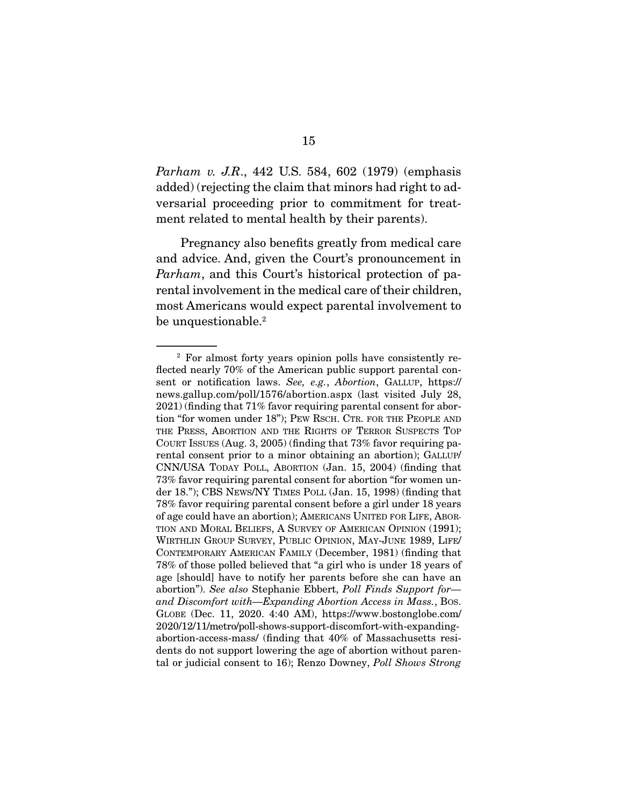Parham v. J.R., 442 U.S. 584, 602 (1979) (emphasis added) (rejecting the claim that minors had right to adversarial proceeding prior to commitment for treatment related to mental health by their parents).

 Pregnancy also benefits greatly from medical care and advice. And, given the Court's pronouncement in Parham, and this Court's historical protection of parental involvement in the medical care of their children, most Americans would expect parental involvement to be unquestionable. $^2$ 

<sup>2</sup> For almost forty years opinion polls have consistently reflected nearly 70% of the American public support parental consent or notification laws. See, e.g., Abortion, GALLUP, https:// news.gallup.com/poll/1576/abortion.aspx (last visited July 28, 2021) (finding that 71% favor requiring parental consent for abortion "for women under 18"); PEW RSCH. CTR. FOR THE PEOPLE AND THE PRESS, ABORTION AND THE RIGHTS OF TERROR SUSPECTS TOP COURT ISSUES (Aug. 3, 2005) (finding that 73% favor requiring parental consent prior to a minor obtaining an abortion); GALLUP/ CNN/USA TODAY POLL, ABORTION (Jan. 15, 2004) (finding that 73% favor requiring parental consent for abortion "for women under 18."); CBS NEWS/NY TIMES POLL (Jan. 15, 1998) (finding that 78% favor requiring parental consent before a girl under 18 years of age could have an abortion); AMERICANS UNITED FOR LIFE, ABOR-TION AND MORAL BELIEFS, A SURVEY OF AMERICAN OPINION (1991); WIRTHLIN GROUP SURVEY, PUBLIC OPINION, MAY-JUNE 1989, LIFE/ CONTEMPORARY AMERICAN FAMILY (December, 1981) (finding that 78% of those polled believed that "a girl who is under 18 years of age [should] have to notify her parents before she can have an abortion"). See also Stephanie Ebbert, Poll Finds Support for and Discomfort with—Expanding Abortion Access in Mass., Bos. GLOBE (Dec. 11, 2020. 4:40 AM), https://www.bostonglobe.com/ 2020/12/11/metro/poll-shows-support-discomfort-with-expandingabortion-access-mass/ (finding that 40% of Massachusetts residents do not support lowering the age of abortion without parental or judicial consent to 16); Renzo Downey, Poll Shows Strong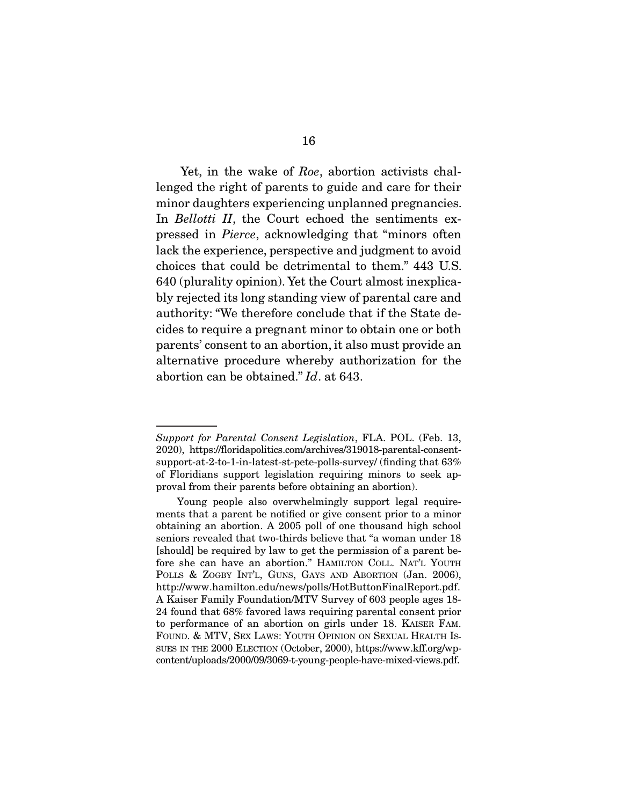Yet, in the wake of Roe, abortion activists challenged the right of parents to guide and care for their minor daughters experiencing unplanned pregnancies. In Bellotti II, the Court echoed the sentiments expressed in Pierce, acknowledging that "minors often lack the experience, perspective and judgment to avoid choices that could be detrimental to them." 443 U.S. 640 (plurality opinion). Yet the Court almost inexplicably rejected its long standing view of parental care and authority: "We therefore conclude that if the State decides to require a pregnant minor to obtain one or both parents' consent to an abortion, it also must provide an alternative procedure whereby authorization for the abortion can be obtained." Id. at 643.

Support for Parental Consent Legislation, FLA. POL. (Feb. 13, 2020), https://floridapolitics.com/archives/319018-parental-consentsupport-at-2-to-1-in-latest-st-pete-polls-survey/ (finding that 63% of Floridians support legislation requiring minors to seek approval from their parents before obtaining an abortion).

Young people also overwhelmingly support legal requirements that a parent be notified or give consent prior to a minor obtaining an abortion. A 2005 poll of one thousand high school seniors revealed that two-thirds believe that "a woman under 18 [should] be required by law to get the permission of a parent before she can have an abortion." HAMILTON COLL. NAT'L YOUTH POLLS & ZOGBY INT'L, GUNS, GAYS AND ABORTION (Jan. 2006), http://www.hamilton.edu/news/polls/HotButtonFinalReport.pdf. A Kaiser Family Foundation/MTV Survey of 603 people ages 18- 24 found that 68% favored laws requiring parental consent prior to performance of an abortion on girls under 18. KAISER FAM. FOUND. & MTV, SEX LAWS: YOUTH OPINION ON SEXUAL HEALTH IS-SUES IN THE 2000 ELECTION (October, 2000), https://www.kff.org/wpcontent/uploads/2000/09/3069-t-young-people-have-mixed-views.pdf.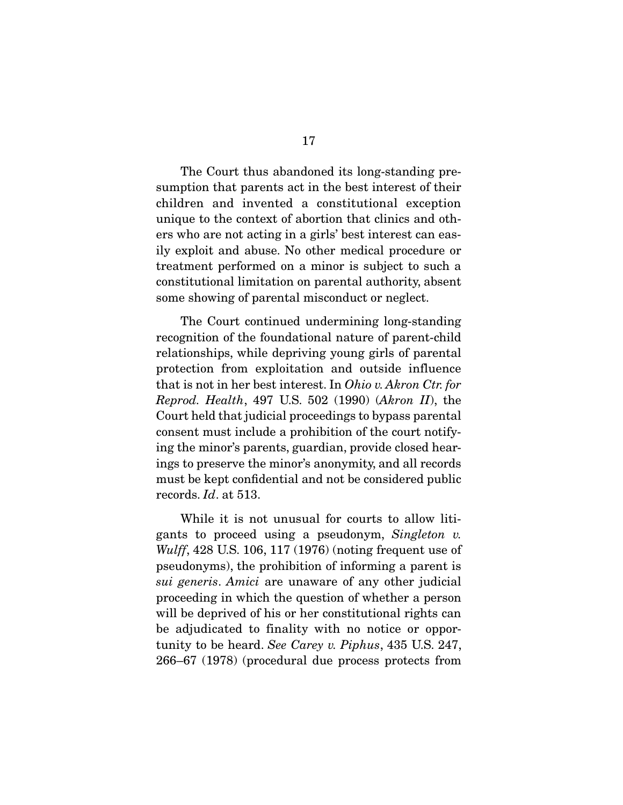The Court thus abandoned its long-standing presumption that parents act in the best interest of their children and invented a constitutional exception unique to the context of abortion that clinics and others who are not acting in a girls' best interest can easily exploit and abuse. No other medical procedure or treatment performed on a minor is subject to such a constitutional limitation on parental authority, absent some showing of parental misconduct or neglect.

 The Court continued undermining long-standing recognition of the foundational nature of parent-child relationships, while depriving young girls of parental protection from exploitation and outside influence that is not in her best interest. In Ohio v. Akron Ctr. for Reprod. Health, 497 U.S. 502 (1990) (Akron II), the Court held that judicial proceedings to bypass parental consent must include a prohibition of the court notifying the minor's parents, guardian, provide closed hearings to preserve the minor's anonymity, and all records must be kept confidential and not be considered public records. Id. at 513.

 While it is not unusual for courts to allow litigants to proceed using a pseudonym, Singleton v. Wulff, 428 U.S. 106, 117 (1976) (noting frequent use of pseudonyms), the prohibition of informing a parent is sui generis. Amici are unaware of any other judicial proceeding in which the question of whether a person will be deprived of his or her constitutional rights can be adjudicated to finality with no notice or opportunity to be heard. See Carey v. Piphus, 435 U.S. 247, 266–67 (1978) (procedural due process protects from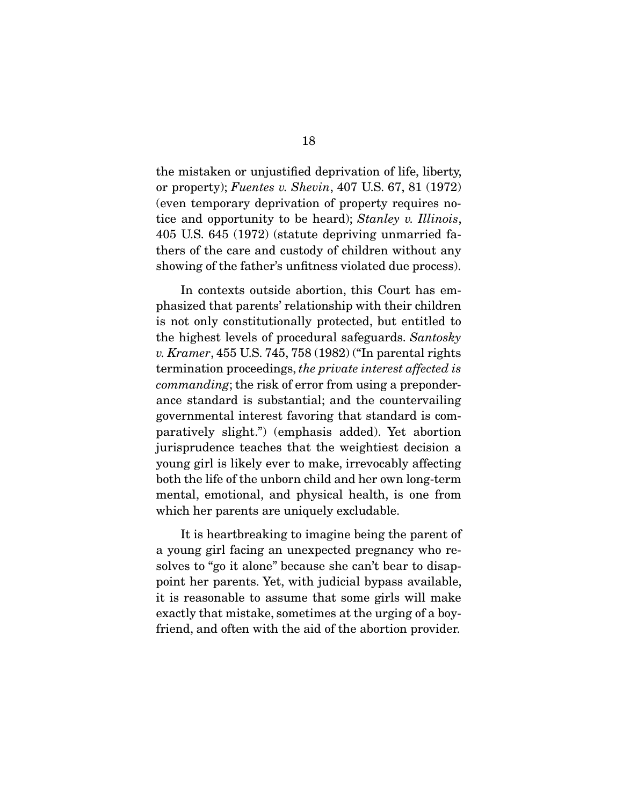the mistaken or unjustified deprivation of life, liberty, or property); Fuentes v. Shevin, 407 U.S. 67, 81 (1972) (even temporary deprivation of property requires notice and opportunity to be heard); Stanley v. Illinois, 405 U.S. 645 (1972) (statute depriving unmarried fathers of the care and custody of children without any showing of the father's unfitness violated due process).

 In contexts outside abortion, this Court has emphasized that parents' relationship with their children is not only constitutionally protected, but entitled to the highest levels of procedural safeguards. Santosky v. Kramer, 455 U.S. 745, 758 (1982) ("In parental rights termination proceedings, the private interest affected is commanding; the risk of error from using a preponderance standard is substantial; and the countervailing governmental interest favoring that standard is comparatively slight.") (emphasis added). Yet abortion jurisprudence teaches that the weightiest decision a young girl is likely ever to make, irrevocably affecting both the life of the unborn child and her own long-term mental, emotional, and physical health, is one from which her parents are uniquely excludable.

 It is heartbreaking to imagine being the parent of a young girl facing an unexpected pregnancy who resolves to "go it alone" because she can't bear to disappoint her parents. Yet, with judicial bypass available, it is reasonable to assume that some girls will make exactly that mistake, sometimes at the urging of a boyfriend, and often with the aid of the abortion provider.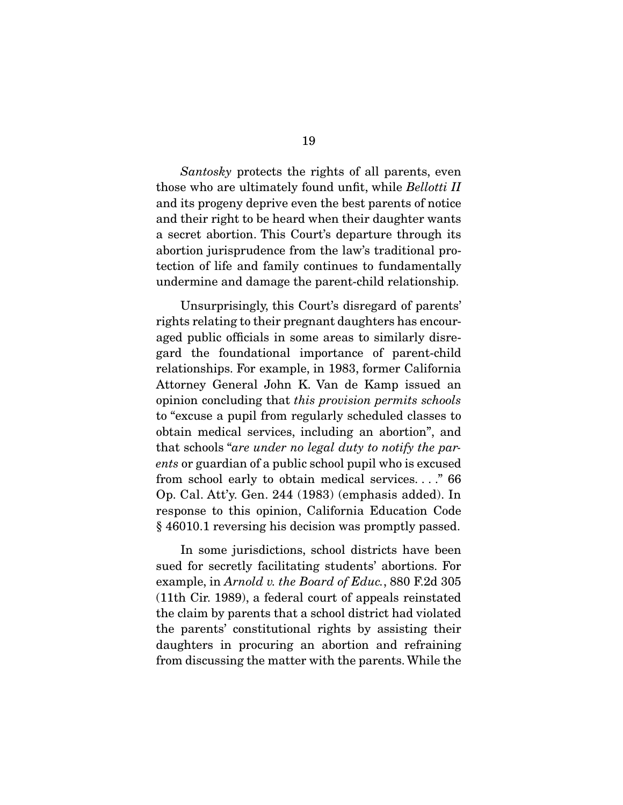Santosky protects the rights of all parents, even those who are ultimately found unfit, while Bellotti II and its progeny deprive even the best parents of notice and their right to be heard when their daughter wants a secret abortion. This Court's departure through its abortion jurisprudence from the law's traditional protection of life and family continues to fundamentally undermine and damage the parent-child relationship.

Unsurprisingly, this Court's disregard of parents' rights relating to their pregnant daughters has encouraged public officials in some areas to similarly disregard the foundational importance of parent-child relationships. For example, in 1983, former California Attorney General John K. Van de Kamp issued an opinion concluding that this provision permits schools to "excuse a pupil from regularly scheduled classes to obtain medical services, including an abortion", and that schools "are under no legal duty to notify the parents or guardian of a public school pupil who is excused from school early to obtain medical services. . . ." 66 Op. Cal. Att'y. Gen. 244 (1983) (emphasis added). In response to this opinion, California Education Code § 46010.1 reversing his decision was promptly passed.

 In some jurisdictions, school districts have been sued for secretly facilitating students' abortions. For example, in Arnold v. the Board of Educ., 880 F.2d 305 (11th Cir. 1989), a federal court of appeals reinstated the claim by parents that a school district had violated the parents' constitutional rights by assisting their daughters in procuring an abortion and refraining from discussing the matter with the parents. While the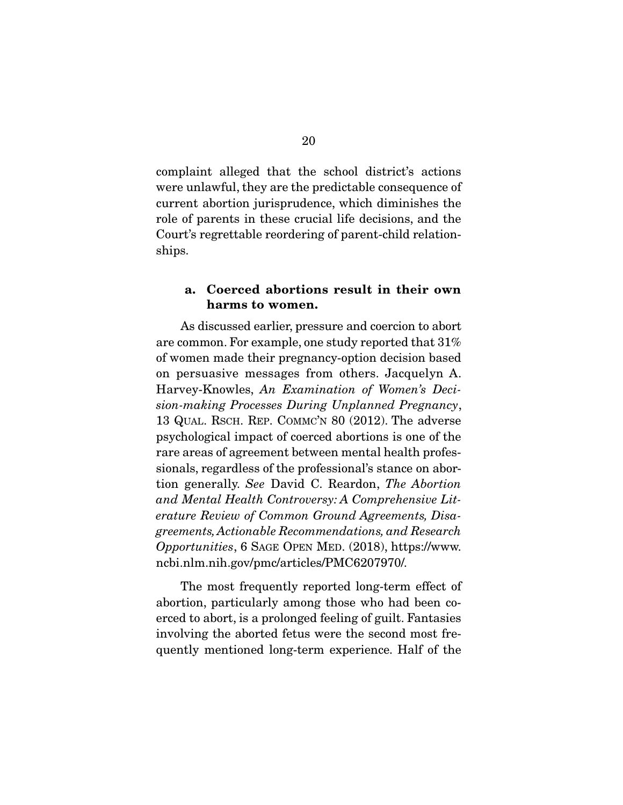complaint alleged that the school district's actions were unlawful, they are the predictable consequence of current abortion jurisprudence, which diminishes the role of parents in these crucial life decisions, and the Court's regrettable reordering of parent-child relationships.

### **a. Coerced abortions result in their own harms to women.**

As discussed earlier, pressure and coercion to abort are common. For example, one study reported that 31% of women made their pregnancy-option decision based on persuasive messages from others. Jacquelyn A. Harvey-Knowles, An Examination of Women's Decision-making Processes During Unplanned Pregnancy, 13 QUAL. RSCH. REP. COMMC'N 80 (2012). The adverse psychological impact of coerced abortions is one of the rare areas of agreement between mental health professionals, regardless of the professional's stance on abortion generally. See David C. Reardon, The Abortion and Mental Health Controversy: A Comprehensive Literature Review of Common Ground Agreements, Disagreements, Actionable Recommendations, and Research Opportunities, 6 SAGE OPEN MED. (2018), https://www. ncbi.nlm.nih.gov/pmc/articles/PMC6207970/.

 The most frequently reported long-term effect of abortion, particularly among those who had been coerced to abort, is a prolonged feeling of guilt. Fantasies involving the aborted fetus were the second most frequently mentioned long-term experience. Half of the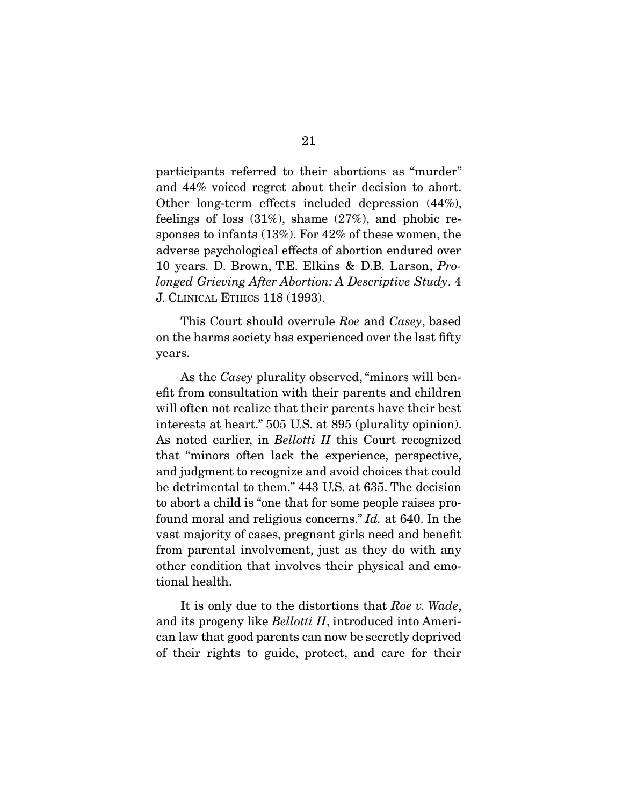participants referred to their abortions as "murder" and 44% voiced regret about their decision to abort. Other long-term effects included depression (44%), feelings of loss  $(31\%)$ , shame  $(27\%)$ , and phobic responses to infants (13%). For 42% of these women, the adverse psychological effects of abortion endured over 10 years. D. Brown, T.E. Elkins & D.B. Larson, Prolonged Grieving After Abortion: A Descriptive Study. 4 J. CLINICAL ETHICS 118 (1993).

 This Court should overrule Roe and Casey, based on the harms society has experienced over the last fifty years.

As the *Casey* plurality observed, "minors will benefit from consultation with their parents and children will often not realize that their parents have their best interests at heart." 505 U.S. at 895 (plurality opinion). As noted earlier, in *Bellotti II* this Court recognized that "minors often lack the experience, perspective, and judgment to recognize and avoid choices that could be detrimental to them." 443 U.S. at 635. The decision to abort a child is "one that for some people raises profound moral and religious concerns." Id. at 640. In the vast majority of cases, pregnant girls need and benefit from parental involvement, just as they do with any other condition that involves their physical and emotional health.

It is only due to the distortions that Roe v. Wade, and its progeny like *Bellotti II*, introduced into American law that good parents can now be secretly deprived of their rights to guide, protect, and care for their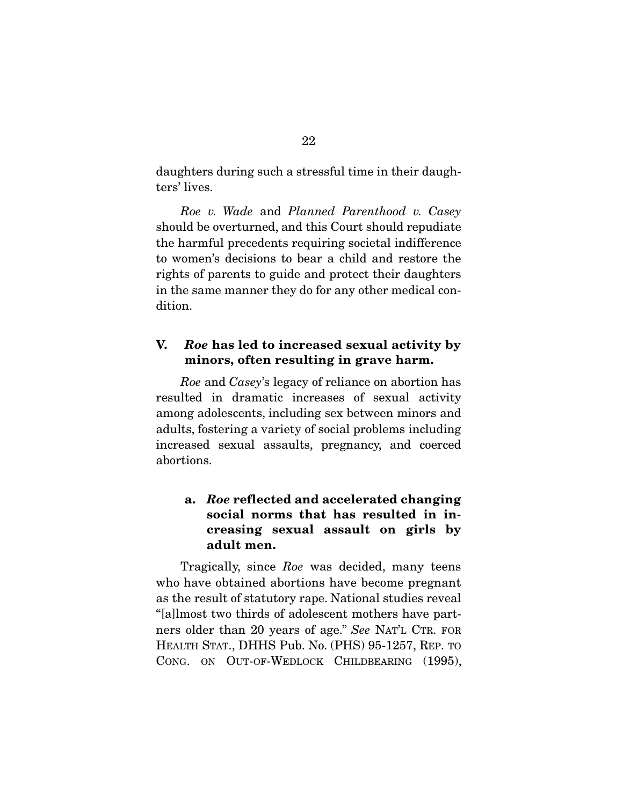daughters during such a stressful time in their daughters' lives.

Roe v. Wade and Planned Parenthood v. Casey should be overturned, and this Court should repudiate the harmful precedents requiring societal indifference to women's decisions to bear a child and restore the rights of parents to guide and protect their daughters in the same manner they do for any other medical condition.

### **V.** *Roe* **has led to increased sexual activity by minors, often resulting in grave harm.**

Roe and Casey's legacy of reliance on abortion has resulted in dramatic increases of sexual activity among adolescents, including sex between minors and adults, fostering a variety of social problems including increased sexual assaults, pregnancy, and coerced abortions.

## **a.** *Roe* **reflected and accelerated changing social norms that has resulted in increasing sexual assault on girls by adult men.**

Tragically, since Roe was decided, many teens who have obtained abortions have become pregnant as the result of statutory rape. National studies reveal "[a]lmost two thirds of adolescent mothers have partners older than 20 years of age." See NAT'L CTR. FOR HEALTH STAT., DHHS Pub. No. (PHS) 95-1257, REP. TO CONG. ON OUT-OF-WEDLOCK CHILDBEARING (1995),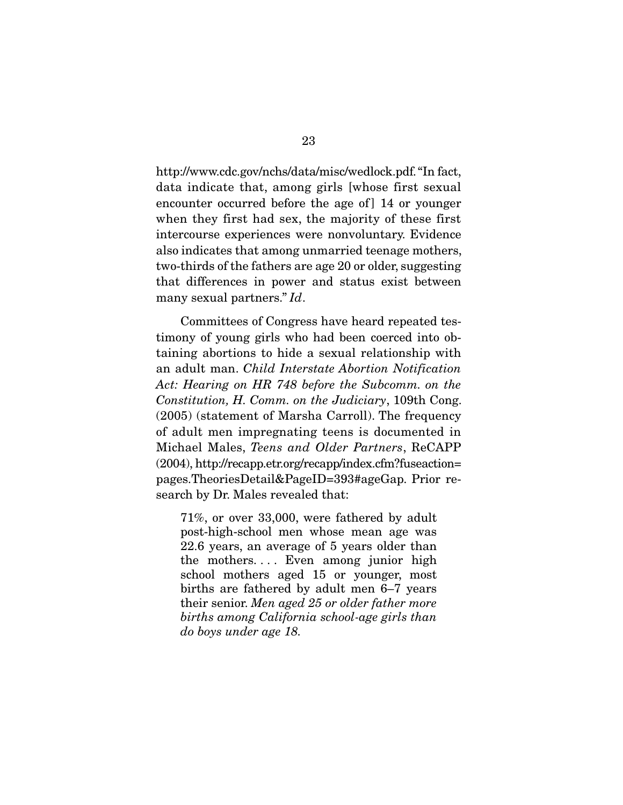http://www.cdc.gov/nchs/data/misc/wedlock.pdf. "In fact, data indicate that, among girls [whose first sexual encounter occurred before the age of 14 or younger when they first had sex, the majority of these first intercourse experiences were nonvoluntary. Evidence also indicates that among unmarried teenage mothers, two-thirds of the fathers are age 20 or older, suggesting that differences in power and status exist between many sexual partners." Id.

 Committees of Congress have heard repeated testimony of young girls who had been coerced into obtaining abortions to hide a sexual relationship with an adult man. Child Interstate Abortion Notification Act: Hearing on HR 748 before the Subcomm. on the Constitution, H. Comm. on the Judiciary, 109th Cong. (2005) (statement of Marsha Carroll). The frequency of adult men impregnating teens is documented in Michael Males, Teens and Older Partners, ReCAPP (2004), http://recapp.etr.org/recapp/index.cfm?fuseaction= pages.TheoriesDetail&PageID=393#ageGap. Prior research by Dr. Males revealed that:

71%, or over 33,000, were fathered by adult post-high-school men whose mean age was 22.6 years, an average of 5 years older than the mothers.... Even among junior high school mothers aged 15 or younger, most births are fathered by adult men 6–7 years their senior. Men aged 25 or older father more births among California school-age girls than do boys under age 18.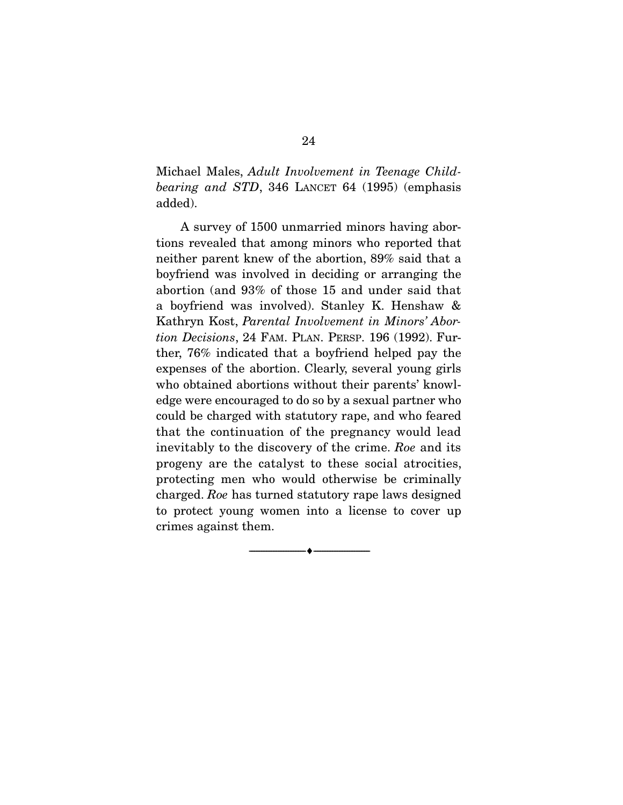Michael Males, Adult Involvement in Teenage Childbearing and STD, 346 LANCET 64 (1995) (emphasis added).

 A survey of 1500 unmarried minors having abortions revealed that among minors who reported that neither parent knew of the abortion, 89% said that a boyfriend was involved in deciding or arranging the abortion (and 93% of those 15 and under said that a boyfriend was involved). Stanley K. Henshaw & Kathryn Kost, Parental Involvement in Minors' Abortion Decisions, 24 FAM. PLAN. PERSP. 196 (1992). Further, 76% indicated that a boyfriend helped pay the expenses of the abortion. Clearly, several young girls who obtained abortions without their parents' knowledge were encouraged to do so by a sexual partner who could be charged with statutory rape, and who feared that the continuation of the pregnancy would lead inevitably to the discovery of the crime. Roe and its progeny are the catalyst to these social atrocities, protecting men who would otherwise be criminally charged. Roe has turned statutory rape laws designed to protect young women into a license to cover up crimes against them.

 $\overbrace{\hspace{2.5cm}}^{\bullet}$   $\overbrace{\hspace{2.5cm}}^{\bullet}$